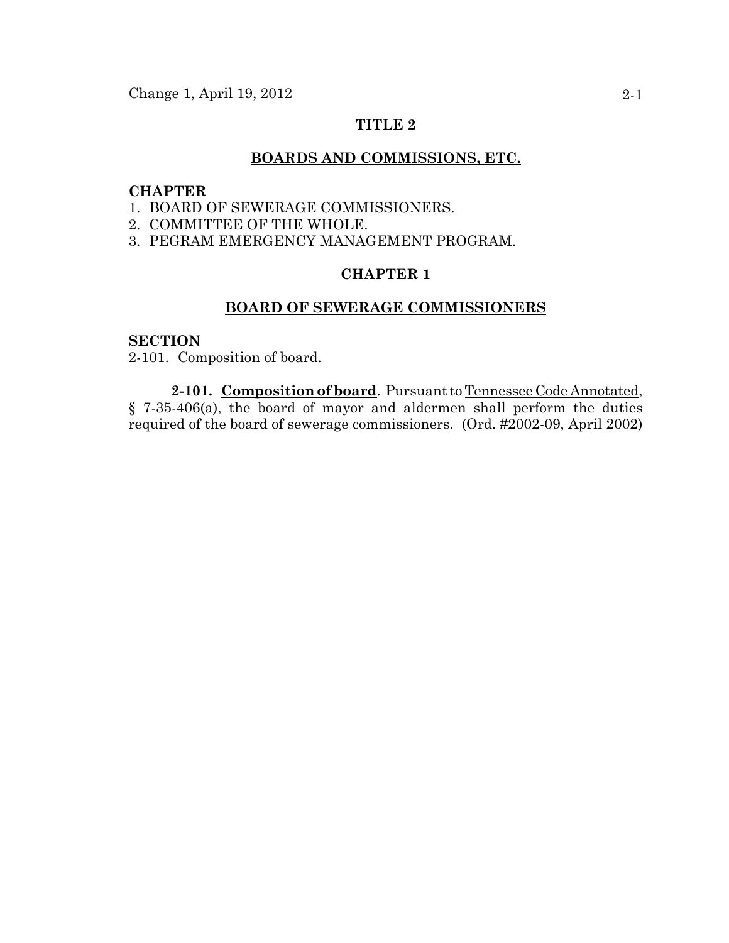### **TITLE 2**

#### **BOARDS AND COMMISSIONS, ETC.**

#### **CHAPTER**

- 1. BOARD OF SEWERAGE COMMISSIONERS.
- 2. COMMITTEE OF THE WHOLE.
- 3. PEGRAM EMERGENCY MANAGEMENT PROGRAM.

# **CHAPTER 1**

### **BOARD OF SEWERAGE COMMISSIONERS**

### **SECTION**

2-101. Composition of board.

**2-101. Composition of board**. Pursuant to Tennessee Code Annotated, § 7-35-406(a), the board of mayor and aldermen shall perform the duties required of the board of sewerage commissioners. (Ord. #2002-09, April 2002)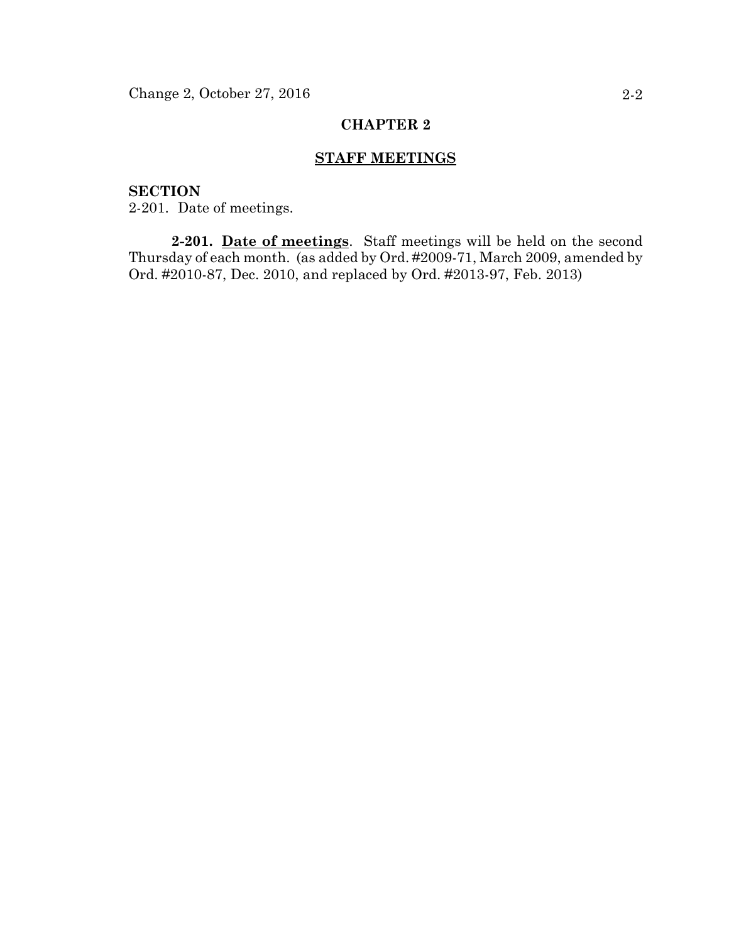# **CHAPTER 2**

# **STAFF MEETINGS**

# **SECTION**

2-201. Date of meetings.

**2-201. Date of meetings**. Staff meetings will be held on the second Thursday of each month. (as added by Ord. #2009-71, March 2009, amended by Ord. #2010-87, Dec. 2010, and replaced by Ord. #2013-97, Feb. 2013)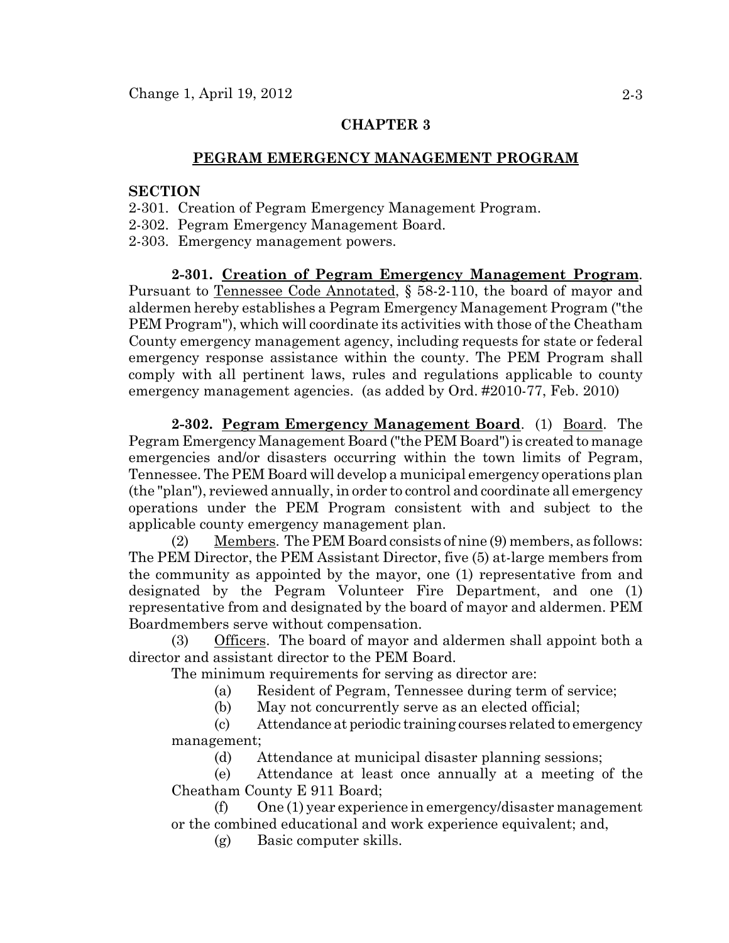### **CHAPTER 3**

#### **PEGRAM EMERGENCY MANAGEMENT PROGRAM**

### **SECTION**

- 2-301. Creation of Pegram Emergency Management Program.
- 2-302. Pegram Emergency Management Board.
- 2-303. Emergency management powers.

**2-301. Creation of Pegram Emergency Management Program**. Pursuant to Tennessee Code Annotated, § 58-2-110, the board of mayor and aldermen hereby establishes a Pegram Emergency Management Program ("the PEM Program"), which will coordinate its activities with those of the Cheatham County emergency management agency, including requests for state or federal emergency response assistance within the county. The PEM Program shall comply with all pertinent laws, rules and regulations applicable to county emergency management agencies. (as added by Ord. #2010-77, Feb. 2010)

**2-302. Pegram Emergency Management Board**. (1) Board. The Pegram Emergency Management Board ("the PEM Board") is created to manage emergencies and/or disasters occurring within the town limits of Pegram, Tennessee. The PEM Board will develop a municipal emergency operations plan (the "plan"), reviewed annually, in order to control and coordinate all emergency operations under the PEM Program consistent with and subject to the applicable county emergency management plan.

(2) Members. The PEM Board consists of nine (9) members, as follows: The PEM Director, the PEM Assistant Director, five (5) at-large members from the community as appointed by the mayor, one (1) representative from and designated by the Pegram Volunteer Fire Department, and one (1) representative from and designated by the board of mayor and aldermen. PEM Boardmembers serve without compensation.

(3) Officers. The board of mayor and aldermen shall appoint both a director and assistant director to the PEM Board.

The minimum requirements for serving as director are:

(a) Resident of Pegram, Tennessee during term of service;

(b) May not concurrently serve as an elected official;

(c) Attendance at periodic training courses related to emergency management;

(d) Attendance at municipal disaster planning sessions;

(e) Attendance at least once annually at a meeting of the Cheatham County E 911 Board;

(f) One (1) year experience in emergency/disaster management or the combined educational and work experience equivalent; and,

(g) Basic computer skills.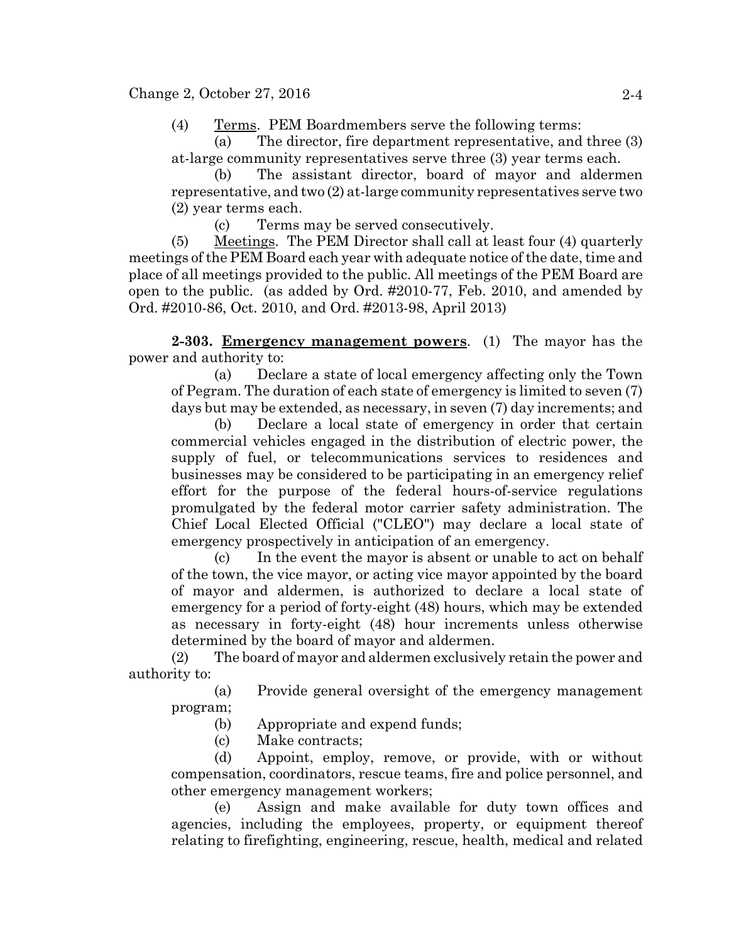(4) Terms. PEM Boardmembers serve the following terms:

(a) The director, fire department representative, and three (3) at-large community representatives serve three (3) year terms each.

(b) The assistant director, board of mayor and aldermen representative, and two (2) at-large community representatives serve two (2) year terms each.

(c) Terms may be served consecutively.

(5) Meetings. The PEM Director shall call at least four (4) quarterly meetings of the PEM Board each year with adequate notice of the date, time and place of all meetings provided to the public. All meetings of the PEM Board are open to the public. (as added by Ord. #2010-77, Feb. 2010, and amended by Ord. #2010-86, Oct. 2010, and Ord. #2013-98, April 2013)

**2-303. Emergency management powers**. (1) The mayor has the power and authority to:

(a) Declare a state of local emergency affecting only the Town of Pegram. The duration of each state of emergency is limited to seven (7) days but may be extended, as necessary, in seven (7) day increments; and

(b) Declare a local state of emergency in order that certain commercial vehicles engaged in the distribution of electric power, the supply of fuel, or telecommunications services to residences and businesses may be considered to be participating in an emergency relief effort for the purpose of the federal hours-of-service regulations promulgated by the federal motor carrier safety administration. The Chief Local Elected Official ("CLEO") may declare a local state of emergency prospectively in anticipation of an emergency.

(c) In the event the mayor is absent or unable to act on behalf of the town, the vice mayor, or acting vice mayor appointed by the board of mayor and aldermen, is authorized to declare a local state of emergency for a period of forty-eight (48) hours, which may be extended as necessary in forty-eight (48) hour increments unless otherwise determined by the board of mayor and aldermen.

(2) The board of mayor and aldermen exclusively retain the power and authority to:

(a) Provide general oversight of the emergency management program;

(b) Appropriate and expend funds;

(c) Make contracts;

(d) Appoint, employ, remove, or provide, with or without compensation, coordinators, rescue teams, fire and police personnel, and other emergency management workers;

(e) Assign and make available for duty town offices and agencies, including the employees, property, or equipment thereof relating to firefighting, engineering, rescue, health, medical and related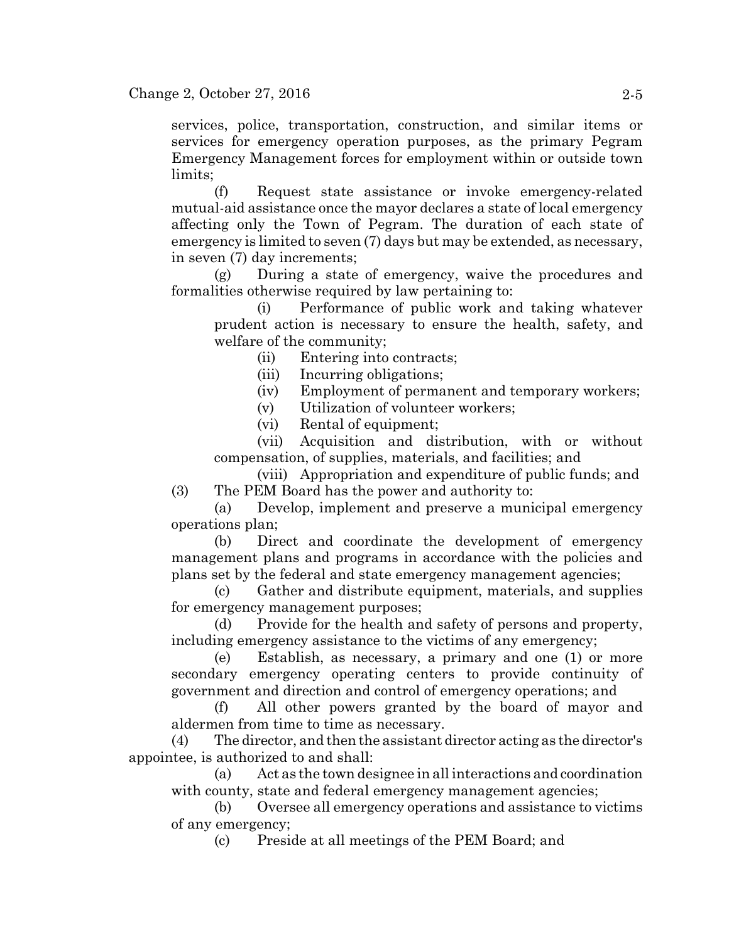services, police, transportation, construction, and similar items or services for emergency operation purposes, as the primary Pegram Emergency Management forces for employment within or outside town limits;

(f) Request state assistance or invoke emergency-related mutual-aid assistance once the mayor declares a state of local emergency affecting only the Town of Pegram. The duration of each state of emergency is limited to seven (7) days but may be extended, as necessary, in seven (7) day increments;

(g) During a state of emergency, waive the procedures and formalities otherwise required by law pertaining to:

(i) Performance of public work and taking whatever prudent action is necessary to ensure the health, safety, and welfare of the community;

(ii) Entering into contracts;

(iii) Incurring obligations;

(iv) Employment of permanent and temporary workers;

(v) Utilization of volunteer workers;

(vi) Rental of equipment;

(vii) Acquisition and distribution, with or without compensation, of supplies, materials, and facilities; and

(viii) Appropriation and expenditure of public funds; and (3) The PEM Board has the power and authority to:

(a) Develop, implement and preserve a municipal emergency operations plan;

(b) Direct and coordinate the development of emergency management plans and programs in accordance with the policies and plans set by the federal and state emergency management agencies;

(c) Gather and distribute equipment, materials, and supplies for emergency management purposes;

(d) Provide for the health and safety of persons and property, including emergency assistance to the victims of any emergency;

(e) Establish, as necessary, a primary and one (1) or more secondary emergency operating centers to provide continuity of government and direction and control of emergency operations; and

(f) All other powers granted by the board of mayor and aldermen from time to time as necessary.

(4) The director, and then the assistant director acting as the director's appointee, is authorized to and shall:

(a) Act as the town designee in all interactions and coordination with county, state and federal emergency management agencies;

(b) Oversee all emergency operations and assistance to victims of any emergency;

(c) Preside at all meetings of the PEM Board; and